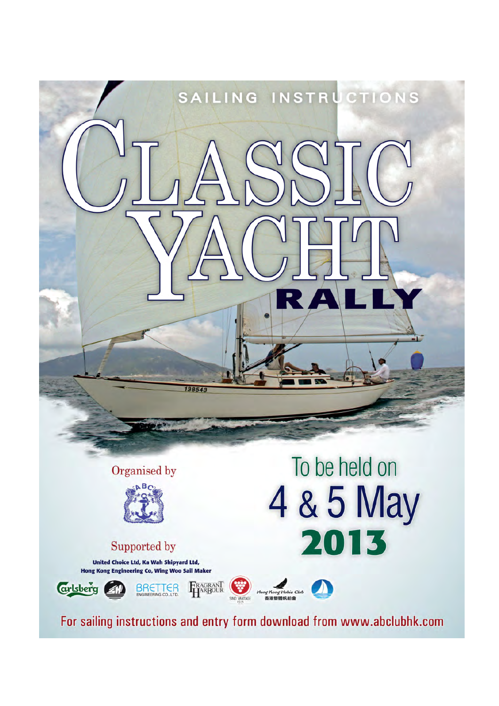

For sailing instructions and entry form download from www.abclubhk.com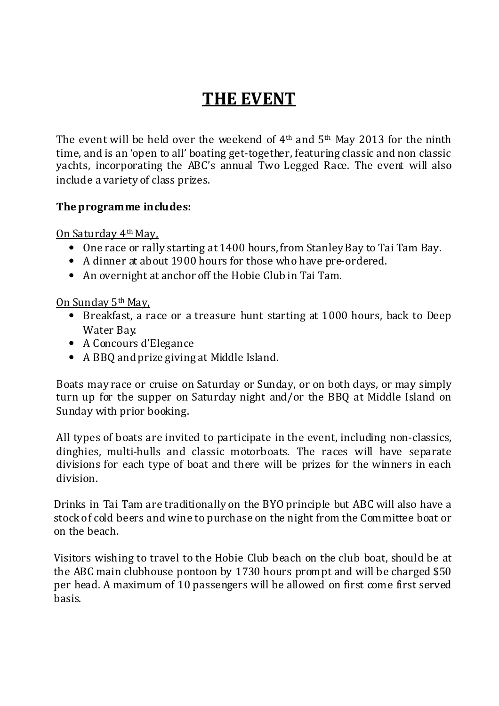# THE EVENT

The event will be held over the weekend of  $4<sup>th</sup>$  and  $5<sup>th</sup>$  May 2013 for the ninth time, and is an 'open to all' boating get-together, featuring classic and non classic yachts, incorporating the ABC's annual Two Legged Race. The event will also include a variety of class prizes.

# The programme includes:

On Saturday 4th May,

- One race or rally starting at 1400 hours, from Stanley Bay to Tai Tam Bay.
- A dinner at about 1900 hours for those who have pre-ordered.
- An overnight at anchor off the Hobie Club in Tai Tam.

# On Sunday 5th May,

- Breakfast, a race or a treasure hunt starting at 1000 hours, back to Deep Water Bay.
- A Concours d'Elegance
- A BBQ and prize giving at Middle Island.

Boats may race or cruise on Saturday or Sunday, or on both days, or may simply turn up for the supper on Saturday night and/or the BBQ at Middle Island on Sunday with prior booking.

All types of boats are invited to participate in the event, including non-classics, dinghies, multi-hulls and classic motorboats. The races will have separate divisions for each type of boat and there will be prizes for the winners in each division.

Drinks in Tai Tam are traditionally on the BYO principle but ABC will also have a stock of cold beers and wine to purchase on the night from the Committee boat or on the beach.

Visitors wishing to travel to the Hobie Club beach on the club boat, should be at the ABC main clubhouse pontoon by 1730 hours prompt and will be charged \$50 per head. A maximum of 10 passengers will be allowed on first come first served basis.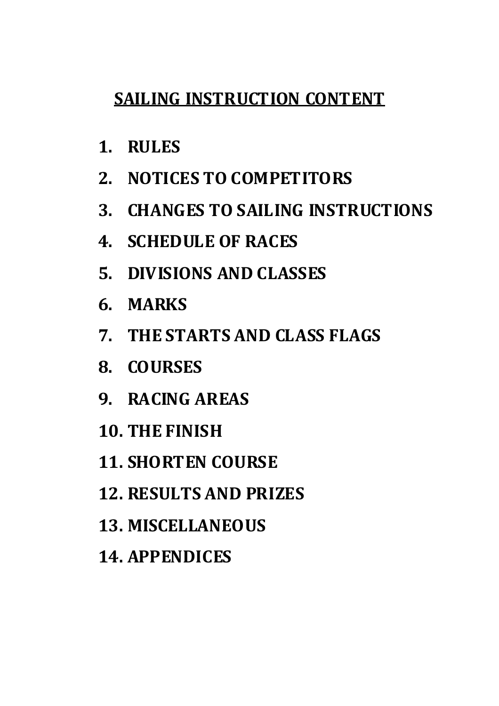# SAILING INSTRUCTION CONTENT

- 1. RULES
- 2. NOTICES TO COMPETITORS
- 3. CHANGES TO SAILING INSTRUCTIONS
- 4. SCHEDULE OF RACES
- 5. DIVISIONS AND CLASSES
- 6. MARKS
- 7. THE STARTS AND CLASS FLAGS
- 8. COURSES
- 9. RACING AREAS
- 10. THE FINISH
- 11. SHORTEN COURSE
- 12. RESULTS AND PRIZES
- 13. MISCELLANEOUS
- 14. APPENDICES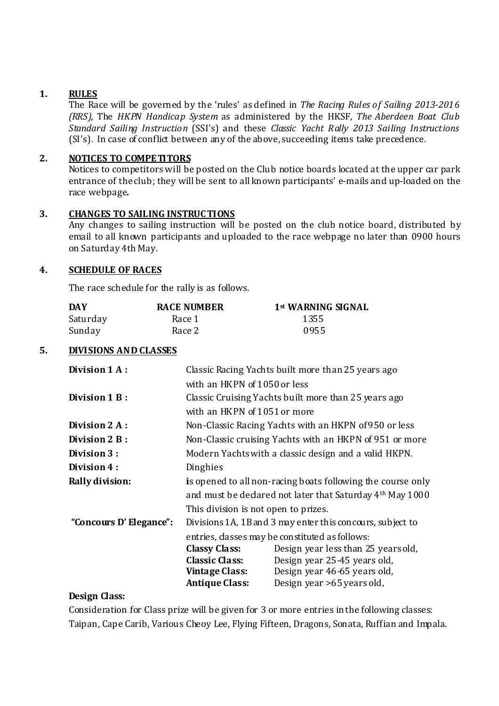#### 1. RULES

The Race will be governed by the 'rules' as defined in The Racing Rules of Sailing 2013-2016 (RRS), The HKPN Handicap System as administered by the HKSF, The Aberdeen Boat Club Standard Sailing Instruction (SSI's) and these Classic Yacht Rally 2013 Sailing Instructions (SI's). In case of conflict between any of the above, succeeding items take precedence.

#### 2. NOTICES TO COMPETITORS

Notices to competitors will be posted on the Club notice boards located at the upper car park entrance of the club; they will be sent to all known participants' e-mails and up-loaded on the race webpage.

#### 3. CHANGES TO SAILING INSTRUC TIONS

Any changes to sailing instruction will be posted on the club notice board, distributed by email to all known participants and uploaded to the race webpage no later than 0900 hours on Saturday 4th May.

#### 4. SCHEDULE OF RACES

The race schedule for the rally is as follows.

| DAY      | <b>RACE NUMBER</b> | 1st WARNING SIGNAL |
|----------|--------------------|--------------------|
| Saturday | Race 1             | 1355               |
| Sunday   | Race 2             | 0955               |

#### 5. DIVISIONS AND CLASSES

| Division 1 A:                                                                                                                           | Classic Racing Yachts built more than 25 years ago          |                                                                      |
|-----------------------------------------------------------------------------------------------------------------------------------------|-------------------------------------------------------------|----------------------------------------------------------------------|
|                                                                                                                                         | with an HKPN of 1050 or less                                |                                                                      |
| Division 1 B:                                                                                                                           |                                                             | Classic Cruising Yachts built more than 25 years ago                 |
|                                                                                                                                         | with an HKPN of 1051 or more                                |                                                                      |
| Division 2 A:                                                                                                                           | Non-Classic Racing Yachts with an HKPN of 950 or less       |                                                                      |
| Division 2 B:                                                                                                                           | Non-Classic cruising Yachts with an HKPN of 951 or more     |                                                                      |
| Division 3:                                                                                                                             | Modern Yachts with a dassic design and a valid HKPN.        |                                                                      |
| Division 4:                                                                                                                             | Dinghies                                                    |                                                                      |
| <b>Rally division:</b>                                                                                                                  | is opened to all non-racing boats following the course only |                                                                      |
|                                                                                                                                         |                                                             | and must be dedared not later that Saturday 4 <sup>th</sup> May 1000 |
|                                                                                                                                         | This division is not open to prizes.                        |                                                                      |
| "Concours D' Elegance":<br>Divisions 1A, 1B and 3 may enter this concours, subject to<br>entries, dasses may be constituted as follows: |                                                             |                                                                      |
|                                                                                                                                         |                                                             |                                                                      |
|                                                                                                                                         | <b>Classy Class:</b>                                        | Design year less than 25 years old,                                  |
|                                                                                                                                         | <b>Classic Class:</b>                                       | Design year 25-45 years old,                                         |
|                                                                                                                                         | Vintage Class:                                              | Design year 46-65 years old,                                         |
|                                                                                                                                         | <b>Antique Class:</b>                                       | Design year >65 years old,                                           |

#### Design Class:

Consideration for Class prize will be given for 3 or more entries in the following classes: Taipan, Cape Carib, Various Cheoy Lee, Flying Fifteen, Dragons, Sonata, Ruffian and Impala.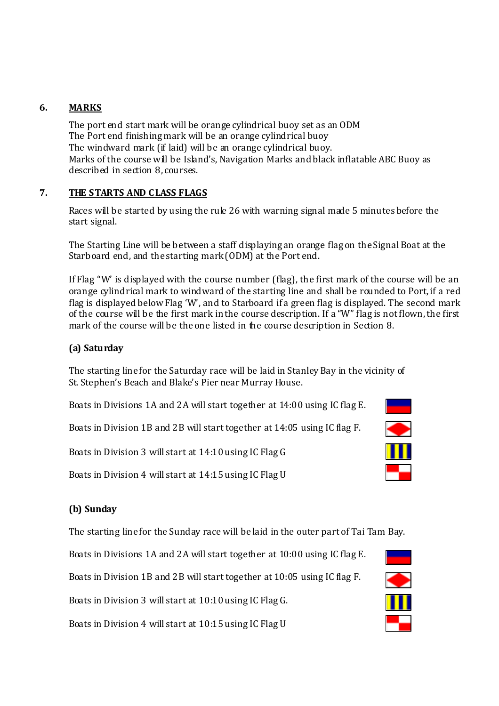## 6. MARKS

The port end start mark will be orange cylindrical buoy set as an ODM The Port end finishing mark will be an orange cylindrical buoy The windward mark (if laid) will be an orange cylindrical buoy. Marks of the course will be Island's, Navigation Marks and black inflatable ABC Buoy as described in section 8, courses.

## 7. THE STARTS AND C LASS FLAGS

Races will be started by using the rule 26 with warning signal made 5 minutes before the start signal.

The Starting Line will be between a staff displaying an orange flag on the Signal Boat at the Starboard end, and the starting mark (ODM) at the Port end.

If Flag "W' is displayed with the course number (flag), the first mark of the course will be an orange cylindrical mark to windward of the starting line and shall be rounded to Port, if a red flag is displayed below Flag 'W', and to Starboard if a green flag is displayed. The second mark of the course will be the first mark in the course description. If a "W" flag is not flown, the first mark of the course will be the one listed in the course description in Section 8.

#### (a) Saturday

The starting line for the Saturday race will be laid in Stanley Bay in the vicinity of St. Stephen's Beach and Blake's Pier near Murray House.

Boats in Divisions 1A and 2A will start together at 14:00 using IC flag E.

Boats in Division 1B and 2B will start together at 14:05 using IC flag F.

Boats in Division 3 will start at 14:10 using IC Flag G

Boats in Division 4 will start at 14:15 using IC Flag U

# (b) Sunday

The starting line for the Sunday race will be laid in the outer part of Tai Tam Bay.

Boats in Divisions 1A and 2A will start together at 10:00 using IC flag E.

Boats in Division 1B and 2B will start together at 10:05 using IC flag F.

Boats in Division 3 will start at 10:10 using IC Flag G.

Boats in Division 4 will start at 10:15 using IC Flag U



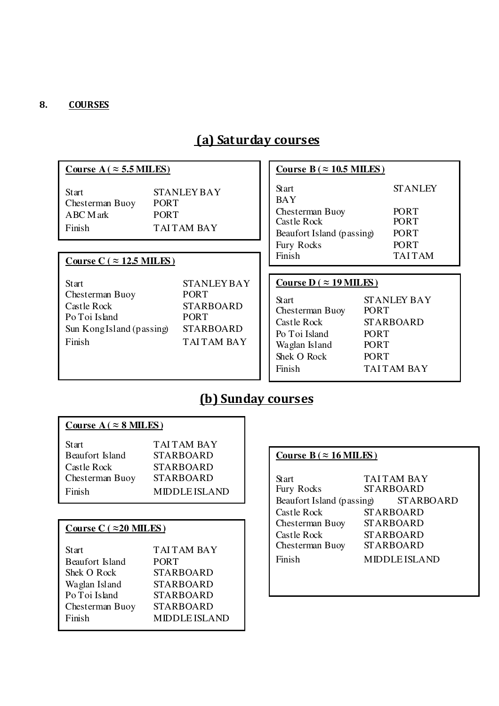#### 8. COURSES

# (a) Saturday courses

# Course  $A$  (  $\approx$  5.5 MILES)

| Start           | <b>STANLEY BAY</b> |
|-----------------|--------------------|
| Chesterman Buoy | <b>PORT</b>        |
| ABC M ark       | <b>PORT</b>        |
| Finish          | <b>TAITAM BAY</b>  |

#### Course  $C$  ( $\approx$  12.5 MILES)

| Start                     | <b>STANLEYBAY</b> |
|---------------------------|-------------------|
| Chesterman Buoy           | <b>PORT</b>       |
| Castle Rock               | <b>STARBOARD</b>  |
| Po Toi Island             | <b>PORT</b>       |
| Sun Kong Island (passing) | <b>STARBOARD</b>  |
| Finish                    | <b>TAITAM BAY</b> |

# **Course B** ( $\approx$  10.5 MILES)

| Start<br><b>BAY</b>                             | <b>STANLEY</b>             |
|-------------------------------------------------|----------------------------|
| Chesterman Buoy                                 | PORT                       |
| <b>Castle Rock</b><br>Beaufort Island (passing) | <b>PORT</b><br><b>PORT</b> |
| Fury Rocks                                      | <b>PORT</b>                |
| Finish                                          | <b>TAITAM</b>              |

#### **Course D (** ≈ **19 MILES )**

| Start           |
|-----------------|
| Chesterman Buoy |
| Castle Rock     |
| Po Toi Island   |
| Waglan Island   |
| Shek O Rock     |
| Finish          |

BAY

STANLEY BAY PORT STARBOARD PORT PORT PORT TAI TAM BAY

# (b) Sunday courses

#### Course  $A$  (  $\approx$  **8 MILES**)

| Start           | <b>TAITAM BAY</b>    |
|-----------------|----------------------|
| Beaufort Island | <b>STARBOARD</b>     |
| Castle Rock-    | <b>STARBOARD</b>     |
| Chesterman Buoy | <b>STARBOARD</b>     |
| Finish          | <b>MIDDLE ISLAND</b> |

#### **Course C (** ≈**20 MILES )**

| Start           | <b>TAITAM BAY</b>    |
|-----------------|----------------------|
| Beaufort Island | <b>PORT</b>          |
| Shek O Rock     | STARBOARD            |
| Waglan Island   | <b>STARBOARD</b>     |
| Po Toi Island   | STARBOARD            |
| Chesterman Buoy | STARBOARD            |
| Finish          | <b>MIDDLE ISLAND</b> |

# **Course B** ( $\approx$  16 MILES)

| Start<br>Fury Rocks       | <b>TAITAM BAY</b><br><b>STARBOARD</b> |                      |
|---------------------------|---------------------------------------|----------------------|
| Beaufort Island (passing) |                                       | <b>STARBOARD</b>     |
| Castle Rock               | <b>STARBOARD</b>                      |                      |
| Chesterman Buoy           | <b>STARBOARD</b>                      |                      |
| Castle Rock               | <b>STARBOARD</b>                      |                      |
| Chesterman Buoy           | <b>STARBOARD</b>                      |                      |
| Finish                    |                                       | <b>MIDDLE ISLAND</b> |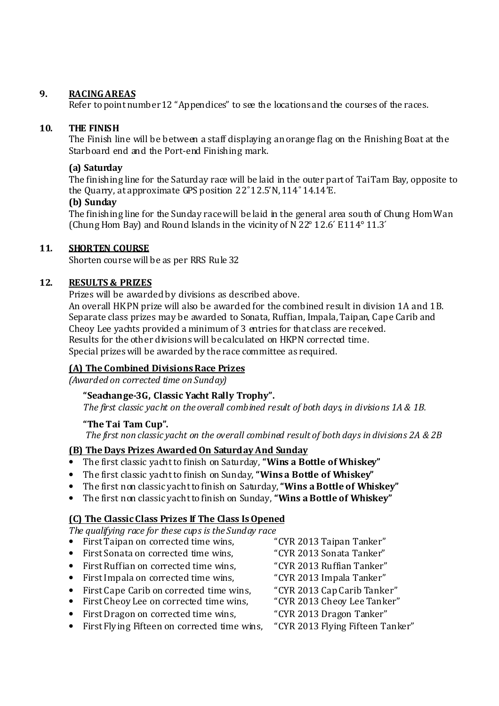#### 9. RACING AREAS

Refer to point number 12 "Appendices" to see the locations and the courses of the races.

#### 10. THE FINISH

The Finish line will be between a staff displaying an orange flag on the Finishing Boat at the Starboard end and the Port-end Finishing mark.

#### (a) Saturday

The finishing line for the Saturday race will be laid in the outer part of Tai Tam Bay, opposite to the Quarry, at approximate GPS position 22˚ 12.5'N, 114˚ 14.14'E.

#### (b) Sunday

The finishing line for the Sunday race will be laid in the general area south of Chung Hom Wan (Chung Hom Bay) and Round Islands in the vicinity of N 22° 12.6 ́ E 114° 11.3 ́

#### 11. SHORTEN COURSE

Shorten course will be as per RRS Rule 32

#### 12. RESULTS & PRIZES

Prizes will be awarded by divisions as described above.

An overall HKPN prize will also be awarded for the combined result in division 1A and 1B. Separate class prizes may be awarded to Sonata, Ruffian, Impala, Taipan, Cape Carib and Cheoy Lee yachts provided a minimum of 3 entries for that class are received. Results for the other divisions will be calculated on HKPN corrected time. Special prizes will be awarded by the race committee as required.

#### (A) The Combined Divisions Race Prizes

(Awarded on corrected time on Sunday)

#### "Seachange-3G, Classic Yacht Rally Trophy".

The first classic yacht on the overall combined result of both days, in divisions 1A & 1B.

#### "The Tai Tam Cup".

The first non classic yacht on the overall combined result of both days in divisions 2A & 2B

#### (B) The Days Prizes Awarded On Saturday And Sunday

- The first classic yacht to finish on Saturday, "Wins a Bottle of Whiskey"
- The first classic vacht to finish on Sunday, "Wins a Bottle of Whiskey"
- The first non classic yacht to finish on Saturday, "Wins a Bottle of Whiskey"
- The first non classic yacht to finish on Sunday, "Wins a Bottle of Whiskey"

#### (C) The Classic Class Prizes If The Class Is Opened

The qualifying race for these cups is the Sunday race

- First Taipan on corrected time wins,  $CYR 2013$  Taipan Tanker"
- First Sonata on corrected time wins,  $CYR 2013$  Sonata Tanker"
- First Ruffian on corrected time wins, "CYR 2013 Ruffian Tanker"
- First Impala on corrected time wins. The "CYR 2013 Impala Tanker"
- First Cape Carib on corrected time wins. "CYR 2013 Cap Carib Tanker"
- First Cheoy Lee on corrected time wins, "CYR 2013 Cheoy Lee Tanker"
- First Dragon on corrected time wins, "CYR 2013 Dragon Tanker"
- First Flying Fifteen on corrected time wins, "CYR 2013 Flying Fifteen Tanker"
- 
- 
- 
- 
- 
- 
- 
-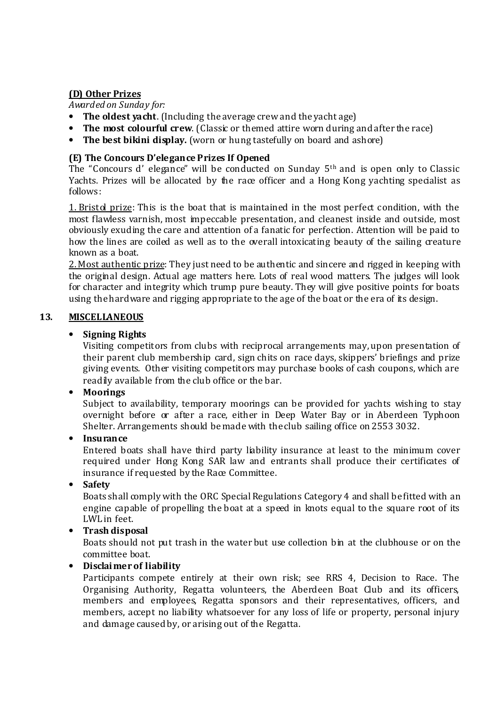#### (D) Other Prizes

Awarded on Sunday for:

- The oldest yacht. (Including the average crew and the yacht age)
- The most colourful crew. (Classic or themed attire worn during and after the race)
- The best bikini display. (worn or hung tastefully on board and ashore)

#### (E) The Concours D'elegance Prizes If Opened

The "Concours d' elegance" will be conducted on Sunday 5th and is open only to Classic Yachts. Prizes will be allocated by the race officer and a Hong Kong yachting specialist as follows:

1. Bristol prize: This is the boat that is maintained in the most perfect condition, with the most flawless varnish, most impeccable presentation, and cleanest inside and outside, most obviously exuding the care and attention of a fanatic for perfection. Attention will be paid to how the lines are coiled as well as to the overall intoxicating beauty of the sailing creature known as a boat.

2. Most authentic prize: They just need to be authentic and sincere and rigged in keeping with the original design. Actual age matters here. Lots of real wood matters. The judges will look for character and integrity which trump pure beauty. They will give positive points for boats using the hardware and rigging appropriate to the age of the boat or the era of its design.

#### 13. MISCELLANEOUS

#### • Signing Rights

Visiting competitors from clubs with reciprocal arrangements may, upon presentation of their parent club membership card, sign chits on race days, skippers' briefings and prize giving events. Other visiting competitors may purchase books of cash coupons, which are readily available from the club office or the bar.

#### • Moorings

Subject to availability, temporary moorings can be provided for yachts wishing to stay overnight before or after a race, either in Deep Water Bay or in Aberdeen Typhoon Shelter. Arrangements should be made with the club sailing office on 2553 3032.

#### • Insurance

Entered boats shall have third party liability insurance at least to the minimum cover required under Hong Kong SAR law and entrants shall produce their certificates of insurance if requested by the Race Committee.

• Safety

Boats shall comply with the ORC Special Regulations Category 4 and shall be fitted with an engine capable of propelling the boat at a speed in knots equal to the square root of its LWL in feet.

#### • Trash disposal

Boats should not put trash in the water but use collection bin at the clubhouse or on the committee boat.

#### • Disclai mer of liability

Participants compete entirely at their own risk; see RRS 4, Decision to Race. The Organising Authority, Regatta volunteers, the Aberdeen Boat Club and its officers, members and employees, Regatta sponsors and their representatives, officers, and members, accept no liability whatsoever for any loss of life or property, personal injury and damage caused by, or arising out of the Regatta.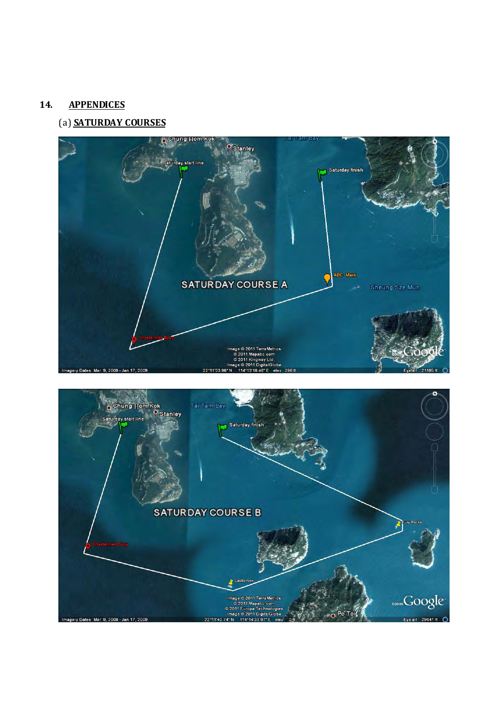#### 14. APPENDICES

## (a) SATURDAY COURSES



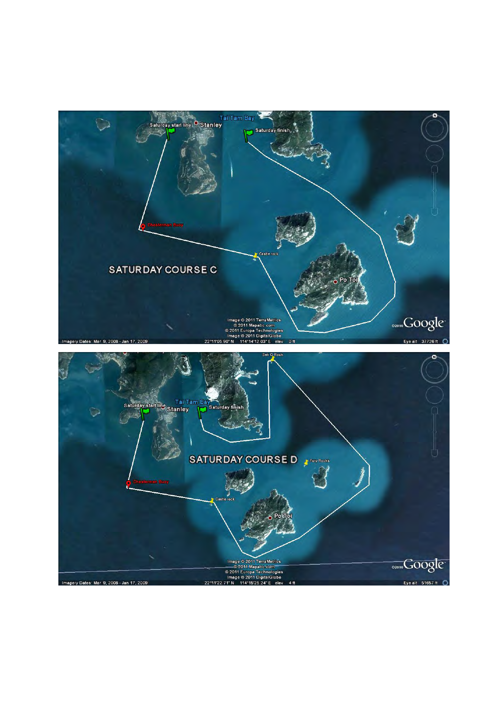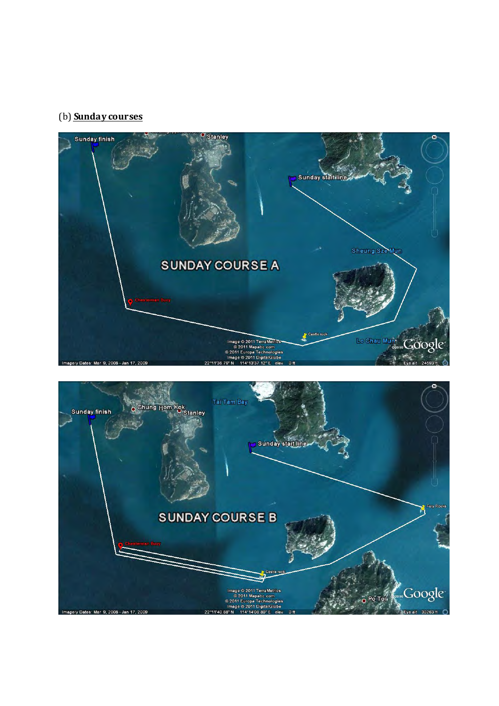# (b) **Sunday courses**